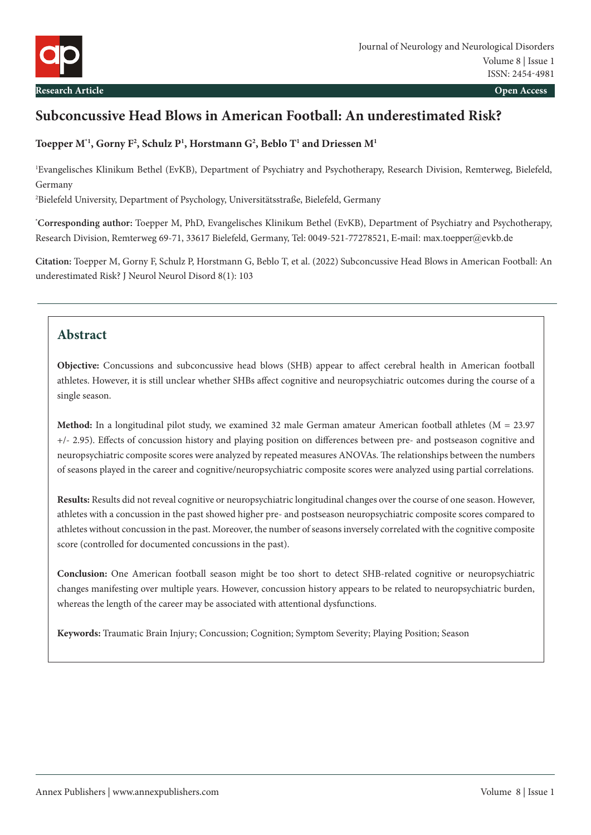# **Subconcussive Head Blows in American Football: An underestimated Risk?**

### **Toepper M\*1, Gorny F2 , Schulz P1 , Horstmann G2 , Beblo T1 and Driessen M1**

1 Evangelisches Klinikum Bethel (EvKB), Department of Psychiatry and Psychotherapy, Research Division, Remterweg, Bielefeld, Germany

2 Bielefeld University, Department of Psychology, Universitätsstraße, Bielefeld, Germany

**\* Corresponding author:** Toepper M, PhD, Evangelisches Klinikum Bethel (EvKB), Department of Psychiatry and Psychotherapy, Research Division, Remterweg 69-71, 33617 Bielefeld, Germany, Tel: 0049-521-77278521, E-mail: max.toepper@evkb.de

**Citation:** Toepper M, Gorny F, Schulz P, Horstmann G, Beblo T, et al. (2022) Subconcussive Head Blows in American Football: An underestimated Risk? J Neurol Neurol Disord 8(1): 103

## **Abstract**

**Objective:** Concussions and subconcussive head blows (SHB) appear to affect cerebral health in American football athletes. However, it is still unclear whether SHBs affect cognitive and neuropsychiatric outcomes during the course of a single season.

**Method:** In a longitudinal pilot study, we examined 32 male German amateur American football athletes (M = 23.97 +/- 2.95). Effects of concussion history and playing position on differences between pre- and postseason cognitive and neuropsychiatric composite scores were analyzed by repeated measures ANOVAs. The relationships between the numbers of seasons played in the career and cognitive/neuropsychiatric composite scores were analyzed using partial correlations.

**Results:** Results did not reveal cognitive or neuropsychiatric longitudinal changes over the course of one season. However, athletes with a concussion in the past showed higher pre- and postseason neuropsychiatric composite scores compared to athletes without concussion in the past. Moreover, the number of seasons inversely correlated with the cognitive composite score (controlled for documented concussions in the past).

**Conclusion:** One American football season might be too short to detect SHB-related cognitive or neuropsychiatric changes manifesting over multiple years. However, concussion history appears to be related to neuropsychiatric burden, whereas the length of the career may be associated with attentional dysfunctions.

**Keywords:** Traumatic Brain Injury; Concussion; Cognition; Symptom Severity; Playing Position; Season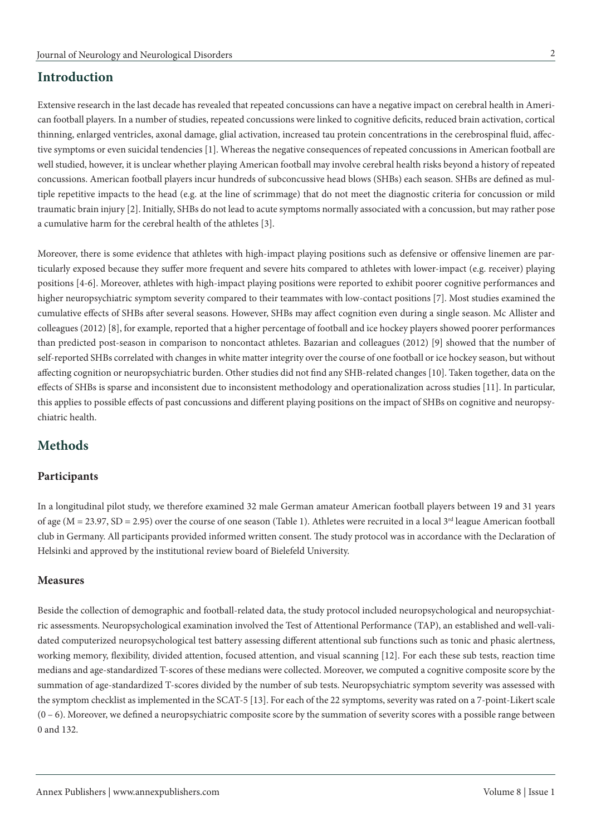## **Introduction**

Extensive research in the last decade has revealed that repeated concussions can have a negative impact on cerebral health in American football players. In a number of studies, repeated concussions were linked to cognitive deficits, reduced brain activation, cortical thinning, enlarged ventricles, axonal damage, glial activation, increased tau protein concentrations in the cerebrospinal fluid, affective symptoms or even suicidal tendencies [1]. Whereas the negative consequences of repeated concussions in American football are well studied, however, it is unclear whether playing American football may involve cerebral health risks beyond a history of repeated concussions. American football players incur hundreds of subconcussive head blows (SHBs) each season. SHBs are defined as multiple repetitive impacts to the head (e.g. at the line of scrimmage) that do not meet the diagnostic criteria for concussion or mild traumatic brain injury [2]. Initially, SHBs do not lead to acute symptoms normally associated with a concussion, but may rather pose a cumulative harm for the cerebral health of the athletes [3].

Moreover, there is some evidence that athletes with high-impact playing positions such as defensive or offensive linemen are particularly exposed because they suffer more frequent and severe hits compared to athletes with lower-impact (e.g. receiver) playing positions [4-6]. Moreover, athletes with high-impact playing positions were reported to exhibit poorer cognitive performances and higher neuropsychiatric symptom severity compared to their teammates with low-contact positions [7]. Most studies examined the cumulative effects of SHBs after several seasons. However, SHBs may affect cognition even during a single season. Mc Allister and colleagues (2012) [8], for example, reported that a higher percentage of football and ice hockey players showed poorer performances than predicted post-season in comparison to noncontact athletes. Bazarian and colleagues (2012) [9] showed that the number of self-reported SHBs correlated with changes in white matter integrity over the course of one football or ice hockey season, but without affecting cognition or neuropsychiatric burden. Other studies did not find any SHB-related changes [10]. Taken together, data on the effects of SHBs is sparse and inconsistent due to inconsistent methodology and operationalization across studies [11]. In particular, this applies to possible effects of past concussions and different playing positions on the impact of SHBs on cognitive and neuropsychiatric health.

## **Methods**

### **Participants**

In a longitudinal pilot study, we therefore examined 32 male German amateur American football players between 19 and 31 years of age ( $M = 23.97$ ,  $SD = 2.95$ ) over the course of one season (Table 1). Athletes were recruited in a local 3<sup>rd</sup> league American football club in Germany. All participants provided informed written consent. The study protocol was in accordance with the Declaration of Helsinki and approved by the institutional review board of Bielefeld University.

#### **Measures**

Beside the collection of demographic and football-related data, the study protocol included neuropsychological and neuropsychiatric assessments. Neuropsychological examination involved the Test of Attentional Performance (TAP), an established and well-validated computerized neuropsychological test battery assessing different attentional sub functions such as tonic and phasic alertness, working memory, flexibility, divided attention, focused attention, and visual scanning [12]. For each these sub tests, reaction time medians and age-standardized T-scores of these medians were collected. Moreover, we computed a cognitive composite score by the summation of age-standardized T-scores divided by the number of sub tests. Neuropsychiatric symptom severity was assessed with the symptom checklist as implemented in the SCAT-5 [13]. For each of the 22 symptoms, severity was rated on a 7-point-Likert scale  $(0 - 6)$ . Moreover, we defined a neuropsychiatric composite score by the summation of severity scores with a possible range between 0 and 132.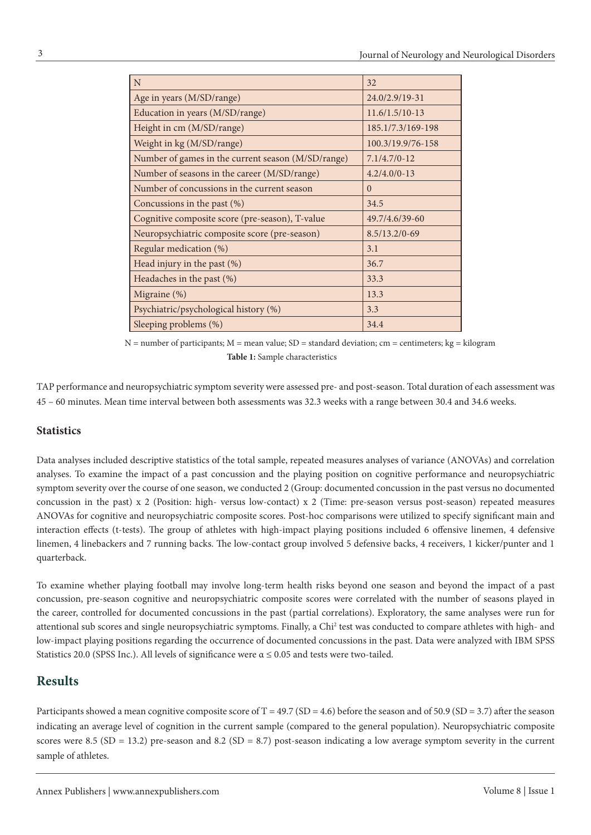| N                                                  | 32                |
|----------------------------------------------------|-------------------|
| Age in years (M/SD/range)                          | 24.0/2.9/19-31    |
| Education in years (M/SD/range)                    | $11.6/1.5/10-13$  |
| Height in cm (M/SD/range)                          | 185.1/7.3/169-198 |
| Weight in kg (M/SD/range)                          | 100.3/19.9/76-158 |
| Number of games in the current season (M/SD/range) | $7.1/4.7/0-12$    |
| Number of seasons in the career (M/SD/range)       | $4.2/4.0/0-13$    |
| Number of concussions in the current season        | $\Omega$          |
| Concussions in the past $(\%)$                     | 34.5              |
| Cognitive composite score (pre-season), T-value    | 49.7/4.6/39-60    |
| Neuropsychiatric composite score (pre-season)      | $8.5/13.2/0-69$   |
| Regular medication (%)                             | 3.1               |
| Head injury in the past (%)                        | 36.7              |
| Headaches in the past (%)                          | 33.3              |
| Migraine (%)                                       | 13.3              |
| Psychiatric/psychological history (%)              | 3.3               |
| Sleeping problems (%)                              | 34.4              |

 $N =$  number of participants;  $M =$  mean value;  $SD =$  standard deviation;  $cm =$  centimeters; kg = kilogram **Table 1:** Sample characteristics

TAP performance and neuropsychiatric symptom severity were assessed pre- and post-season. Total duration of each assessment was 45 – 60 minutes. Mean time interval between both assessments was 32.3 weeks with a range between 30.4 and 34.6 weeks.

### **Statistics**

Data analyses included descriptive statistics of the total sample, repeated measures analyses of variance (ANOVAs) and correlation analyses. To examine the impact of a past concussion and the playing position on cognitive performance and neuropsychiatric symptom severity over the course of one season, we conducted 2 (Group: documented concussion in the past versus no documented concussion in the past) x 2 (Position: high- versus low-contact) x 2 (Time: pre-season versus post-season) repeated measures ANOVAs for cognitive and neuropsychiatric composite scores. Post-hoc comparisons were utilized to specify significant main and interaction effects (t-tests). The group of athletes with high-impact playing positions included 6 offensive linemen, 4 defensive linemen, 4 linebackers and 7 running backs. The low-contact group involved 5 defensive backs, 4 receivers, 1 kicker/punter and 1 quarterback.

To examine whether playing football may involve long-term health risks beyond one season and beyond the impact of a past concussion, pre-season cognitive and neuropsychiatric composite scores were correlated with the number of seasons played in the career, controlled for documented concussions in the past (partial correlations). Exploratory, the same analyses were run for attentional sub scores and single neuropsychiatric symptoms. Finally, a Chi<sup>2</sup> test was conducted to compare athletes with high- and low-impact playing positions regarding the occurrence of documented concussions in the past. Data were analyzed with IBM SPSS Statistics 20.0 (SPSS Inc.). All levels of significance were  $\alpha \le 0.05$  and tests were two-tailed.

## **Results**

Participants showed a mean cognitive composite score of  $T = 49.7$  (SD = 4.6) before the season and of 50.9 (SD = 3.7) after the season indicating an average level of cognition in the current sample (compared to the general population). Neuropsychiatric composite scores were 8.5 (SD = 13.2) pre-season and 8.2 (SD = 8.7) post-season indicating a low average symptom severity in the current sample of athletes.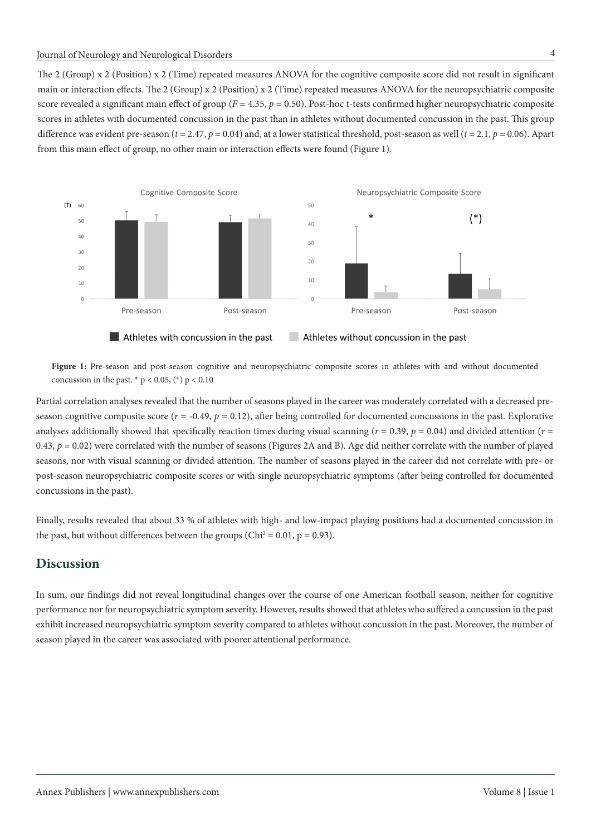The 2 (Group) x 2 (Position) x 2 (Time) repeated measures ANOVA for the cognitive composite score did not result in significant main or interaction effects. The 2 (Group) x 2 (Position) x 2 (Time) repeated measures ANOVA for the neuropsychiatric composite score revealed a significant main effect of group ( $F = 4.35$ ,  $p = 0.50$ ). Post-hoc t-tests confirmed higher neuropsychiatric composite scores in athletes with documented concussion in the past than in athletes without documented concussion in the past. This group difference was evident pre-season ( $t = 2.47$ ,  $p = 0.04$ ) and, at a lower statistical threshold, post-season as well ( $t = 2.1$ ,  $p = 0.06$ ). Apart from this main effect of group, no other main or interaction effects were found (Figure 1).



Figure 1: Pre-season and post-season cognitive and neuropsychiatric composite scores in athletes with and without documented concussion in the past.  $*$  p < 0.05,  $(*)$  p < 0.10

Partial correlation analyses revealed that the number of seasons played in the career was moderately correlated with a decreased preseason cognitive composite score  $(r = -0.49, p = 0.12)$ , after being controlled for documented concussions in the past. Explorative analyses additionally showed that specifically reaction times during visual scanning ( $r = 0.39$ ,  $p = 0.04$ ) and divided attention ( $r =$ 0.43,  $p = 0.02$ ) were correlated with the number of seasons (Figures 2A and B). Age did neither correlate with the number of played seasons, nor with visual scanning or divided attention. The number of seasons played in the career did not correlate with pre- or post-season neuropsychiatric composite scores or with single neuropsychiatric symptoms (after being controlled for documented concussions in the past).

Finally, results revealed that about 33 % of athletes with high- and low-impact playing positions had a documented concussion in the past, but without differences between the groups (Chi<sup>2</sup> = 0.01, p = 0.93).

## **Discussion**

In sum, our findings did not reveal longitudinal changes over the course of one American football season, neither for cognitive performance nor for neuropsychiatric symptom severity. However, results showed that athletes who suffered a concussion in the past exhibit increased neuropsychiatric symptom severity compared to athletes without concussion in the past. Moreover, the number of season played in the career was associated with poorer attentional performance.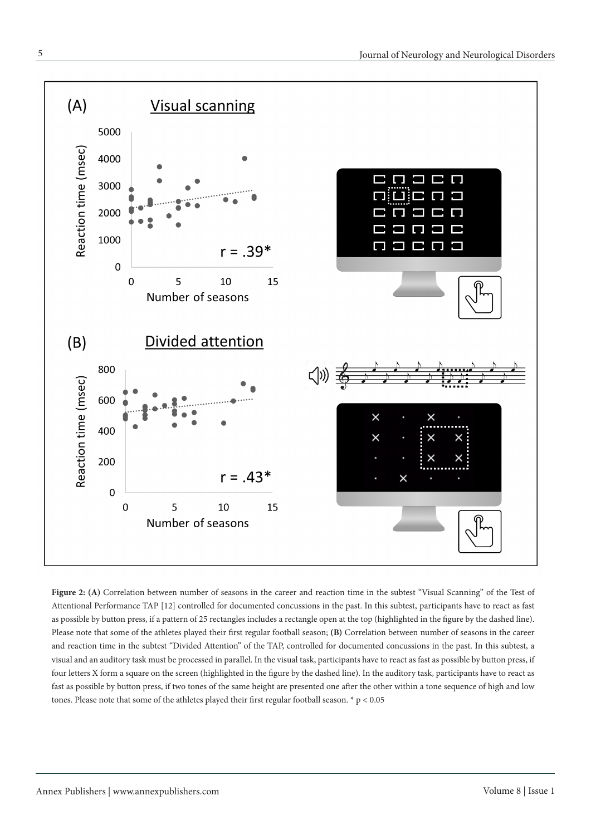

Figure 2: (A) Correlation between number of seasons in the career and reaction time in the subtest "Visual Scanning" of the Test of Attentional Performance TAP [12] controlled for documented concussions in the past. In this subtest, participants have to react as fast as possible by button press, if a pattern of 25 rectangles includes a rectangle open at the top (highlighted in the figure by the dashed line). Please note that some of the athletes played their first regular football season; **(B)** Correlation between number of seasons in the career and reaction time in the subtest "Divided Attention" of the TAP, controlled for documented concussions in the past. In this subtest, a visual and an auditory task must be processed in parallel. In the visual task, participants have to react as fast as possible by button press, if four letters X form a square on the screen (highlighted in the figure by the dashed line). In the auditory task, participants have to react as fast as possible by button press, if two tones of the same height are presented one after the other within a tone sequence of high and low tones. Please note that some of the athletes played their first regular football season. \*  $p < 0.05$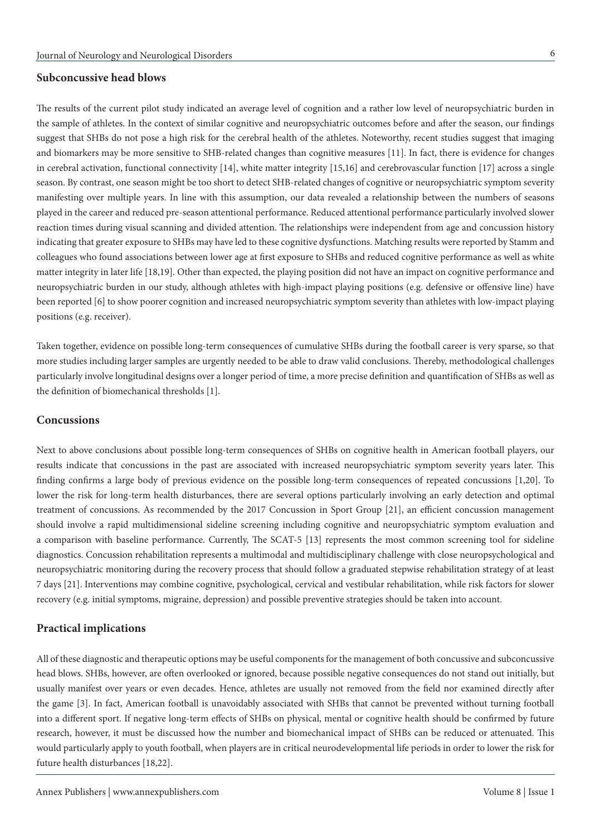#### **Subconcussive head blows**

The results of the current pilot study indicated an average level of cognition and a rather low level of neuropsychiatric burden in the sample of athletes. In the context of similar cognitive and neuropsychiatric outcomes before and after the season, our findings suggest that SHBs do not pose a high risk for the cerebral health of the athletes. Noteworthy, recent studies suggest that imaging and biomarkers may be more sensitive to SHB-related changes than cognitive measures [11]. In fact, there is evidence for changes in cerebral activation, functional connectivity [14], white matter integrity [15,16] and cerebrovascular function [17] across a single season. By contrast, one season might be too short to detect SHB-related changes of cognitive or neuropsychiatric symptom severity manifesting over multiple years. In line with this assumption, our data revealed a relationship between the numbers of seasons played in the career and reduced pre-season attentional performance. Reduced attentional performance particularly involved slower reaction times during visual scanning and divided attention. The relationships were independent from age and concussion history indicating that greater exposure to SHBs may have led to these cognitive dysfunctions. Matching results were reported by Stamm and colleagues who found associations between lower age at first exposure to SHBs and reduced cognitive performance as well as white matter integrity in later life [18,19]. Other than expected, the playing position did not have an impact on cognitive performance and neuropsychiatric burden in our study, although athletes with high-impact playing positions (e.g. defensive or offensive line) have been reported [6] to show poorer cognition and increased neuropsychiatric symptom severity than athletes with low-impact playing positions (e.g. receiver).

Taken together, evidence on possible long-term consequences of cumulative SHBs during the football career is very sparse, so that more studies including larger samples are urgently needed to be able to draw valid conclusions. Thereby, methodological challenges particularly involve longitudinal designs over a longer period of time, a more precise definition and quantification of SHBs as well as the definition of biomechanical thresholds [1].

#### **Concussions**

Next to above conclusions about possible long-term consequences of SHBs on cognitive health in American football players, our results indicate that concussions in the past are associated with increased neuropsychiatric symptom severity years later. This finding confirms a large body of previous evidence on the possible long-term consequences of repeated concussions [1,20]. To lower the risk for long-term health disturbances, there are several options particularly involving an early detection and optimal treatment of concussions. As recommended by the 2017 Concussion in Sport Group [21], an efficient concussion management should involve a rapid multidimensional sideline screening including cognitive and neuropsychiatric symptom evaluation and a comparison with baseline performance. Currently, The SCAT-5 [13] represents the most common screening tool for sideline diagnostics. Concussion rehabilitation represents a multimodal and multidisciplinary challenge with close neuropsychological and neuropsychiatric monitoring during the recovery process that should follow a graduated stepwise rehabilitation strategy of at least 7 days [21]. Interventions may combine cognitive, psychological, cervical and vestibular rehabilitation, while risk factors for slower recovery (e.g. initial symptoms, migraine, depression) and possible preventive strategies should be taken into account.

### **Practical implications**

All of these diagnostic and therapeutic options may be useful components for the management of both concussive and subconcussive head blows. SHBs, however, are often overlooked or ignored, because possible negative consequences do not stand out initially, but usually manifest over years or even decades. Hence, athletes are usually not removed from the field nor examined directly after the game [3]. In fact, American football is unavoidably associated with SHBs that cannot be prevented without turning football into a different sport. If negative long-term effects of SHBs on physical, mental or cognitive health should be confirmed by future research, however, it must be discussed how the number and biomechanical impact of SHBs can be reduced or attenuated. This would particularly apply to youth football, when players are in critical neurodevelopmental life periods in order to lower the risk for future health disturbances [18,22].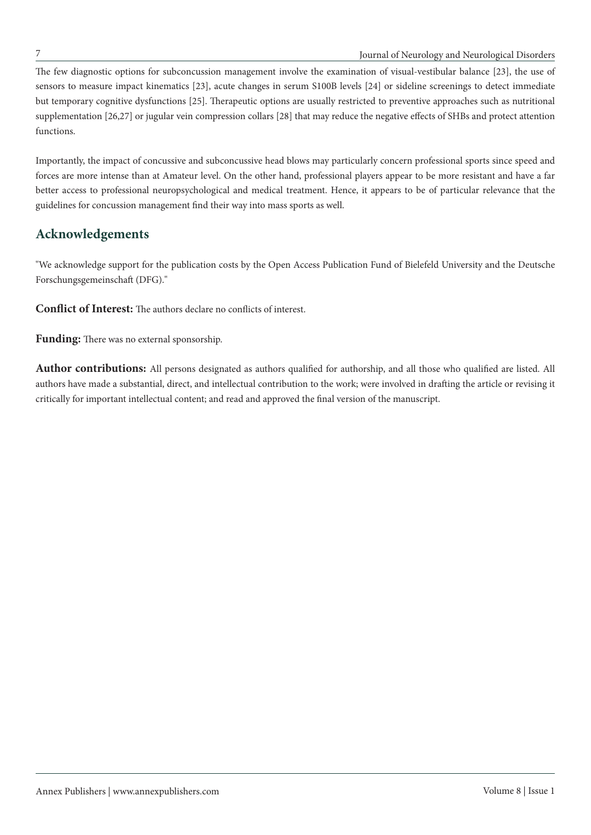#### 7 Journal of Neurology and Neurological Disorders

The few diagnostic options for subconcussion management involve the examination of visual-vestibular balance [23], the use of sensors to measure impact kinematics [23], acute changes in serum S100B levels [24] or sideline screenings to detect immediate but temporary cognitive dysfunctions [25]. Therapeutic options are usually restricted to preventive approaches such as nutritional supplementation [26,27] or jugular vein compression collars [28] that may reduce the negative effects of SHBs and protect attention functions.

Importantly, the impact of concussive and subconcussive head blows may particularly concern professional sports since speed and forces are more intense than at Amateur level. On the other hand, professional players appear to be more resistant and have a far better access to professional neuropsychological and medical treatment. Hence, it appears to be of particular relevance that the guidelines for concussion management find their way into mass sports as well.

## **Acknowledgements**

"We acknowledge support for the publication costs by the Open Access Publication Fund of Bielefeld University and the Deutsche Forschungsgemeinschaft (DFG)."

**Conflict of Interest:** The authors declare no conflicts of interest.

**Funding:** There was no external sponsorship.

**Author contributions:** All persons designated as authors qualified for authorship, and all those who qualified are listed. All authors have made a substantial, direct, and intellectual contribution to the work; were involved in drafting the article or revising it critically for important intellectual content; and read and approved the final version of the manuscript.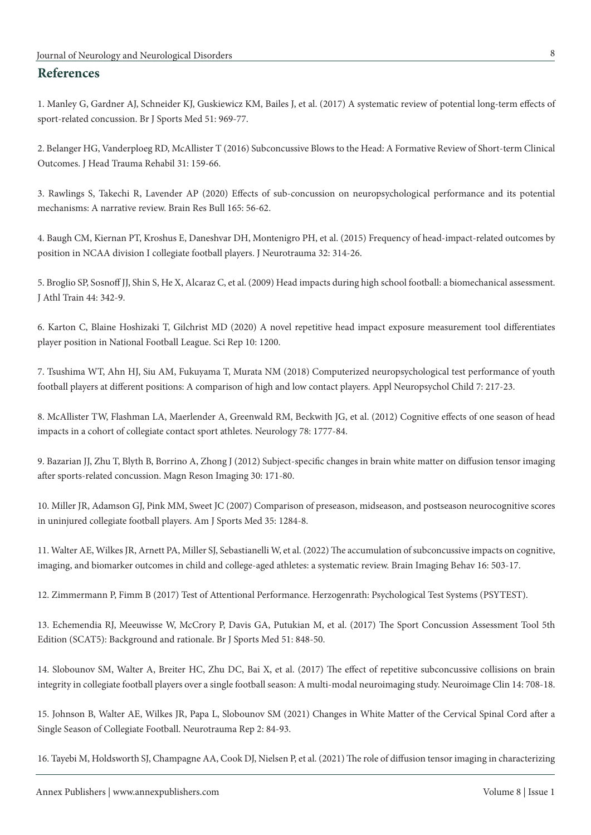### **References**

1. Manley G, Gardner AJ, Schneider KJ, Guskiewicz KM, Bailes J, et al. (2017) A systematic review of potential long-term effects of sport-related concussion. Br J Sports Med 51: 969-77.

2. Belanger HG, Vanderploeg RD, McAllister T (2016) Subconcussive Blows to the Head: A Formative Review of Short-term Clinical Outcomes. J Head Trauma Rehabil 31: 159-66.

3. Rawlings S, Takechi R, Lavender AP (2020) Effects of sub-concussion on neuropsychological performance and its potential mechanisms: A narrative review. Brain Res Bull 165: 56-62.

4. Baugh CM, Kiernan PT, Kroshus E, Daneshvar DH, Montenigro PH, et al. (2015) Frequency of head-impact-related outcomes by position in NCAA division I collegiate football players. J Neurotrauma 32: 314-26.

5. Broglio SP, Sosnoff JJ, Shin S, He X, Alcaraz C, et al. (2009) Head impacts during high school football: a biomechanical assessment. J Athl Train 44: 342-9.

6. Karton C, Blaine Hoshizaki T, Gilchrist MD (2020) A novel repetitive head impact exposure measurement tool differentiates player position in National Football League. Sci Rep 10: 1200.

7. Tsushima WT, Ahn HJ, Siu AM, Fukuyama T, Murata NM (2018) Computerized neuropsychological test performance of youth football players at different positions: A comparison of high and low contact players. Appl Neuropsychol Child 7: 217-23.

8. McAllister TW, Flashman LA, Maerlender A, Greenwald RM, Beckwith JG, et al. (2012) Cognitive effects of one season of head impacts in a cohort of collegiate contact sport athletes. Neurology 78: 1777-84.

9. Bazarian JJ, Zhu T, Blyth B, Borrino A, Zhong J (2012) Subject-specific changes in brain white matter on diffusion tensor imaging after sports-related concussion. Magn Reson Imaging 30: 171-80.

10. Miller JR, Adamson GJ, Pink MM, Sweet JC (2007) Comparison of preseason, midseason, and postseason neurocognitive scores in uninjured collegiate football players. Am J Sports Med 35: 1284-8.

11. Walter AE, Wilkes JR, Arnett PA, Miller SJ, Sebastianelli W, et al. (2022) The accumulation of subconcussive impacts on cognitive, imaging, and biomarker outcomes in child and college-aged athletes: a systematic review. Brain Imaging Behav 16: 503-17.

12. Zimmermann P, Fimm B (2017) Test of Attentional Performance. Herzogenrath: Psychological Test Systems (PSYTEST).

13. Echemendia RJ, Meeuwisse W, McCrory P, Davis GA, Putukian M, et al. (2017) The Sport Concussion Assessment Tool 5th Edition (SCAT5): Background and rationale. Br J Sports Med 51: 848-50.

14. Slobounov SM, Walter A, Breiter HC, Zhu DC, Bai X, et al. (2017) The effect of repetitive subconcussive collisions on brain integrity in collegiate football players over a single football season: A multi-modal neuroimaging study. Neuroimage Clin 14: 708-18.

15. Johnson B, Walter AE, Wilkes JR, Papa L, Slobounov SM (2021) Changes in White Matter of the Cervical Spinal Cord after a Single Season of Collegiate Football. Neurotrauma Rep 2: 84-93.

16. Tayebi M, Holdsworth SJ, Champagne AA, Cook DJ, Nielsen P, et al. (2021) The role of diffusion tensor imaging in characterizing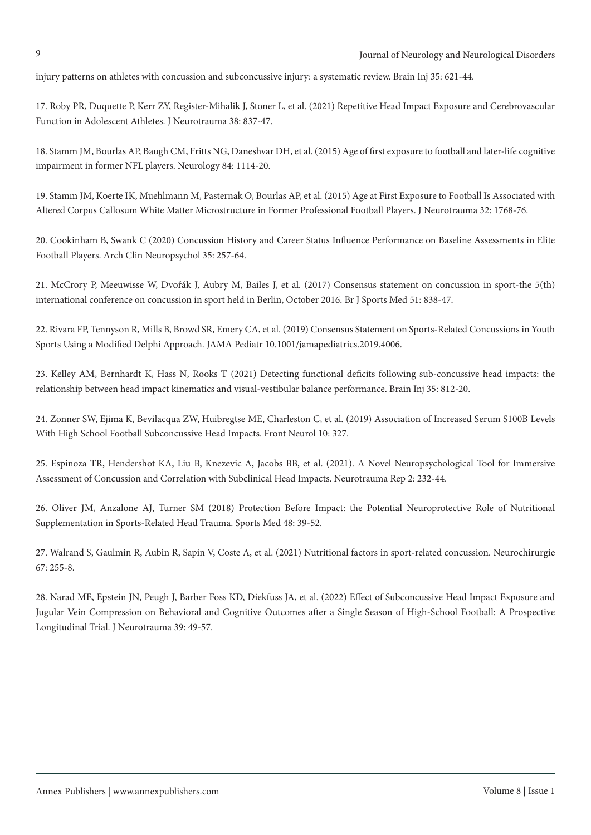injury patterns on athletes with concussion and subconcussive injury: a systematic review. Brain Inj 35: 621-44.

17. Roby PR, Duquette P, Kerr ZY, Register-Mihalik J, Stoner L, et al. (2021) Repetitive Head Impact Exposure and Cerebrovascular Function in Adolescent Athletes. J Neurotrauma 38: 837-47.

18. Stamm JM, Bourlas AP, Baugh CM, Fritts NG, Daneshvar DH, et al. (2015) Age of first exposure to football and later-life cognitive impairment in former NFL players. Neurology 84: 1114-20.

19. Stamm JM, Koerte IK, Muehlmann M, Pasternak O, Bourlas AP, et al. (2015) Age at First Exposure to Football Is Associated with Altered Corpus Callosum White Matter Microstructure in Former Professional Football Players. J Neurotrauma 32: 1768-76.

20. Cookinham B, Swank C (2020) Concussion History and Career Status Influence Performance on Baseline Assessments in Elite Football Players. Arch Clin Neuropsychol 35: 257-64.

21. McCrory P, Meeuwisse W, Dvořák J, Aubry M, Bailes J, et al. (2017) Consensus statement on concussion in sport-the 5(th) international conference on concussion in sport held in Berlin, October 2016. Br J Sports Med 51: 838-47.

22. Rivara FP, Tennyson R, Mills B, Browd SR, Emery CA, et al. (2019) Consensus Statement on Sports-Related Concussions in Youth Sports Using a Modified Delphi Approach. JAMA Pediatr 10.1001/jamapediatrics.2019.4006.

23. Kelley AM, Bernhardt K, Hass N, Rooks T (2021) Detecting functional deficits following sub-concussive head impacts: the relationship between head impact kinematics and visual-vestibular balance performance. Brain Inj 35: 812-20.

24. Zonner SW, Ejima K, Bevilacqua ZW, Huibregtse ME, Charleston C, et al. (2019) Association of Increased Serum S100B Levels With High School Football Subconcussive Head Impacts. Front Neurol 10: 327.

25. Espinoza TR, Hendershot KA, Liu B, Knezevic A, Jacobs BB, et al. (2021). A Novel Neuropsychological Tool for Immersive Assessment of Concussion and Correlation with Subclinical Head Impacts. Neurotrauma Rep 2: 232-44.

26. Oliver JM, Anzalone AJ, Turner SM (2018) Protection Before Impact: the Potential Neuroprotective Role of Nutritional Supplementation in Sports-Related Head Trauma. Sports Med 48: 39-52.

27. Walrand S, Gaulmin R, Aubin R, Sapin V, Coste A, et al. (2021) Nutritional factors in sport-related concussion. Neurochirurgie 67: 255-8.

28. Narad ME, Epstein JN, Peugh J, Barber Foss KD, Diekfuss JA, et al. (2022) Effect of Subconcussive Head Impact Exposure and Jugular Vein Compression on Behavioral and Cognitive Outcomes after a Single Season of High-School Football: A Prospective Longitudinal Trial. J Neurotrauma 39: 49-57.